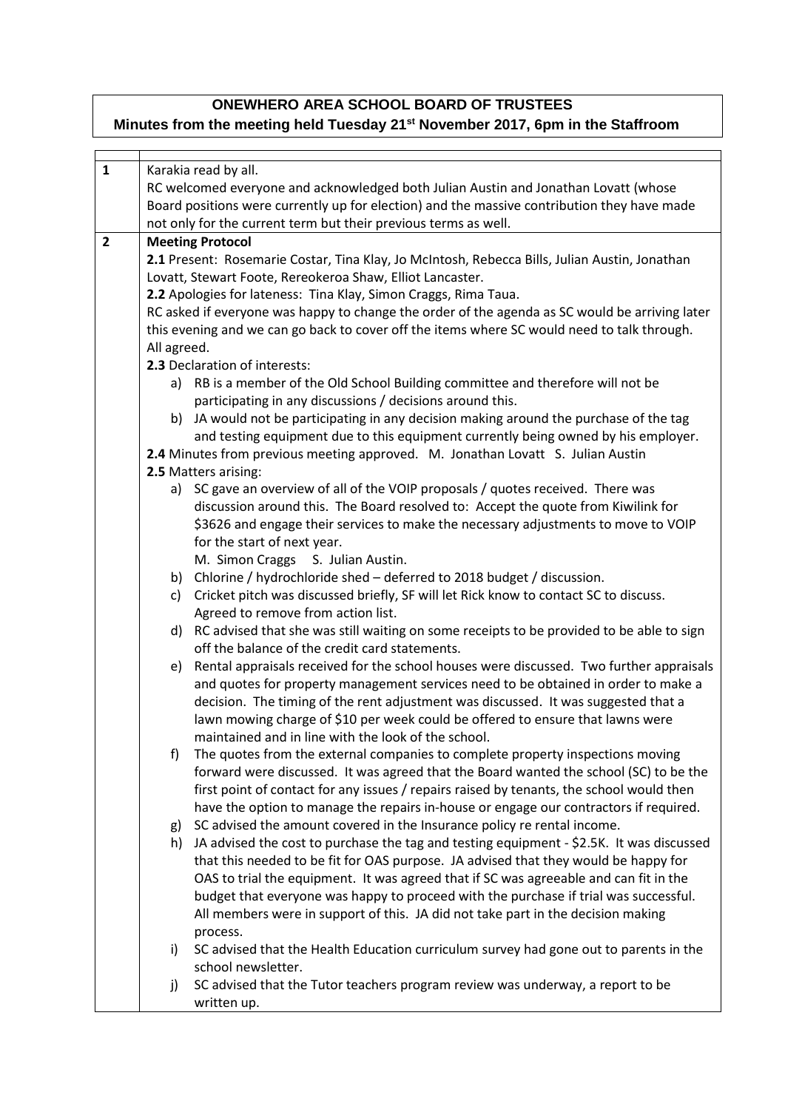## **ONEWHERO AREA SCHOOL BOARD OF TRUSTEES Minutes from the meeting held Tuesday 21st November 2017, 6pm in the Staffroom**

r

| $\mathbf{1}$   | Karakia read by all.                                      |                                                                                                |  |  |
|----------------|-----------------------------------------------------------|------------------------------------------------------------------------------------------------|--|--|
|                |                                                           | RC welcomed everyone and acknowledged both Julian Austin and Jonathan Lovatt (whose            |  |  |
|                |                                                           | Board positions were currently up for election) and the massive contribution they have made    |  |  |
|                |                                                           | not only for the current term but their previous terms as well.                                |  |  |
| $\overline{2}$ | <b>Meeting Protocol</b>                                   |                                                                                                |  |  |
|                |                                                           | 2.1 Present: Rosemarie Costar, Tina Klay, Jo McIntosh, Rebecca Bills, Julian Austin, Jonathan  |  |  |
|                | Lovatt, Stewart Foote, Rereokeroa Shaw, Elliot Lancaster. |                                                                                                |  |  |
|                |                                                           | 2.2 Apologies for lateness: Tina Klay, Simon Craggs, Rima Taua.                                |  |  |
|                |                                                           | RC asked if everyone was happy to change the order of the agenda as SC would be arriving later |  |  |
|                |                                                           |                                                                                                |  |  |
|                |                                                           | this evening and we can go back to cover off the items where SC would need to talk through.    |  |  |
|                | All agreed.<br>2.3 Declaration of interests:              |                                                                                                |  |  |
|                |                                                           | a) RB is a member of the Old School Building committee and therefore will not be               |  |  |
|                |                                                           | participating in any discussions / decisions around this.                                      |  |  |
|                | b)                                                        | JA would not be participating in any decision making around the purchase of the tag            |  |  |
|                |                                                           | and testing equipment due to this equipment currently being owned by his employer.             |  |  |
|                |                                                           | 2.4 Minutes from previous meeting approved. M. Jonathan Lovatt S. Julian Austin                |  |  |
|                |                                                           | 2.5 Matters arising:                                                                           |  |  |
|                |                                                           | a) SC gave an overview of all of the VOIP proposals / quotes received. There was               |  |  |
|                |                                                           | discussion around this. The Board resolved to: Accept the quote from Kiwilink for              |  |  |
|                |                                                           | \$3626 and engage their services to make the necessary adjustments to move to VOIP             |  |  |
|                |                                                           | for the start of next year.                                                                    |  |  |
|                |                                                           | M. Simon Craggs S. Julian Austin.                                                              |  |  |
|                |                                                           | b) Chlorine / hydrochloride shed - deferred to 2018 budget / discussion.                       |  |  |
|                | c)                                                        | Cricket pitch was discussed briefly, SF will let Rick know to contact SC to discuss.           |  |  |
|                |                                                           | Agreed to remove from action list.                                                             |  |  |
|                |                                                           | d) RC advised that she was still waiting on some receipts to be provided to be able to sign    |  |  |
|                |                                                           | off the balance of the credit card statements.                                                 |  |  |
|                | e)                                                        | Rental appraisals received for the school houses were discussed. Two further appraisals        |  |  |
|                |                                                           | and quotes for property management services need to be obtained in order to make a             |  |  |
|                |                                                           | decision. The timing of the rent adjustment was discussed. It was suggested that a             |  |  |
|                |                                                           | lawn mowing charge of \$10 per week could be offered to ensure that lawns were                 |  |  |
|                |                                                           | maintained and in line with the look of the school.                                            |  |  |
|                | f)                                                        | The quotes from the external companies to complete property inspections moving                 |  |  |
|                |                                                           | forward were discussed. It was agreed that the Board wanted the school (SC) to be the          |  |  |
|                |                                                           | first point of contact for any issues / repairs raised by tenants, the school would then       |  |  |
|                |                                                           | have the option to manage the repairs in-house or engage our contractors if required.          |  |  |
|                | g)                                                        | SC advised the amount covered in the Insurance policy re rental income.                        |  |  |
|                | h)                                                        | JA advised the cost to purchase the tag and testing equipment - \$2.5K. It was discussed       |  |  |
|                |                                                           | that this needed to be fit for OAS purpose. JA advised that they would be happy for            |  |  |
|                |                                                           | OAS to trial the equipment. It was agreed that if SC was agreeable and can fit in the          |  |  |
|                |                                                           | budget that everyone was happy to proceed with the purchase if trial was successful.           |  |  |
|                |                                                           | All members were in support of this. JA did not take part in the decision making               |  |  |
|                |                                                           | process.                                                                                       |  |  |
|                | i)                                                        | SC advised that the Health Education curriculum survey had gone out to parents in the          |  |  |
|                |                                                           | school newsletter.                                                                             |  |  |
|                | j)                                                        | SC advised that the Tutor teachers program review was underway, a report to be                 |  |  |
|                |                                                           | written up.                                                                                    |  |  |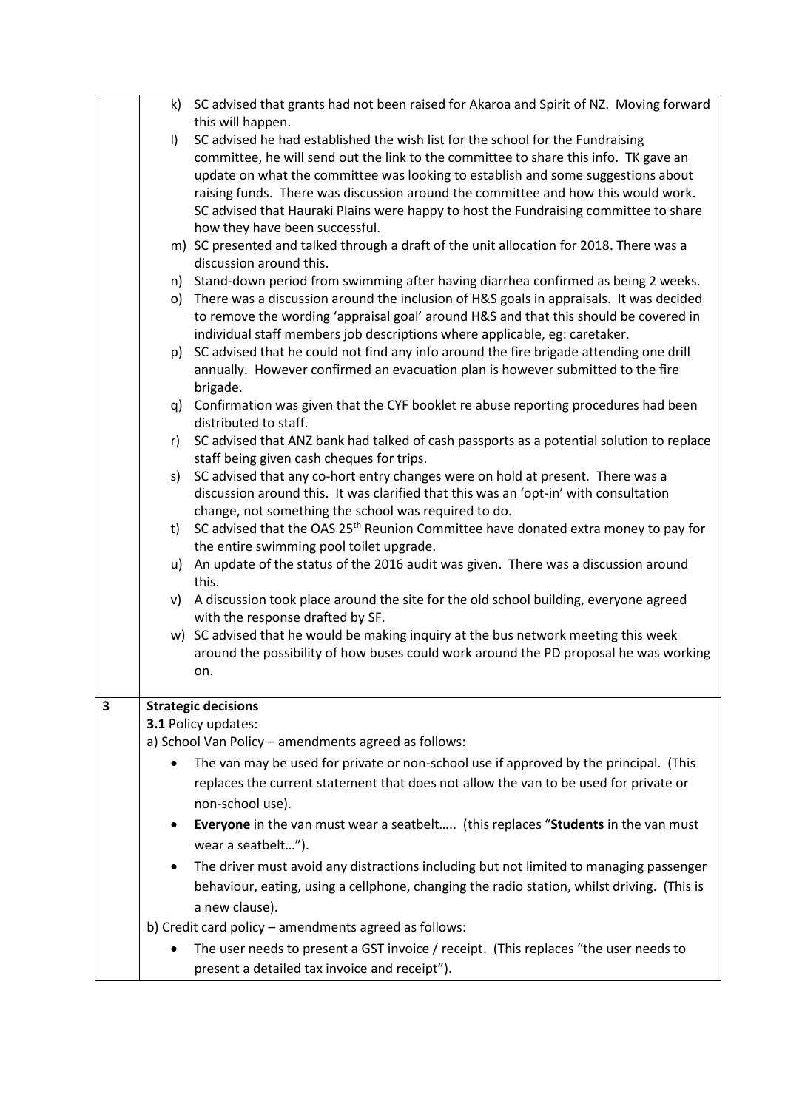|   | k)      | SC advised that grants had not been raised for Akaroa and Spirit of NZ. Moving forward                                 |
|---|---------|------------------------------------------------------------------------------------------------------------------------|
|   |         | this will happen.                                                                                                      |
|   | $\vert$ | SC advised he had established the wish list for the school for the Fundraising                                         |
|   |         | committee, he will send out the link to the committee to share this info. TK gave an                                   |
|   |         | update on what the committee was looking to establish and some suggestions about                                       |
|   |         | raising funds. There was discussion around the committee and how this would work.                                      |
|   |         | SC advised that Hauraki Plains were happy to host the Fundraising committee to share<br>how they have been successful. |
|   |         | m) SC presented and talked through a draft of the unit allocation for 2018. There was a<br>discussion around this.     |
|   |         | n) Stand-down period from swimming after having diarrhea confirmed as being 2 weeks.                                   |
|   |         | o) There was a discussion around the inclusion of H&S goals in appraisals. It was decided                              |
|   |         | to remove the wording 'appraisal goal' around H&S and that this should be covered in                                   |
|   |         | individual staff members job descriptions where applicable, eg: caretaker.                                             |
|   |         | p) SC advised that he could not find any info around the fire brigade attending one drill                              |
|   |         | annually. However confirmed an evacuation plan is however submitted to the fire<br>brigade.                            |
|   |         | q) Confirmation was given that the CYF booklet re abuse reporting procedures had been                                  |
|   |         | distributed to staff.                                                                                                  |
|   |         | r) SC advised that ANZ bank had talked of cash passports as a potential solution to replace                            |
|   |         | staff being given cash cheques for trips.                                                                              |
|   | s)      | SC advised that any co-hort entry changes were on hold at present. There was a                                         |
|   |         | discussion around this. It was clarified that this was an 'opt-in' with consultation                                   |
|   |         | change, not something the school was required to do.                                                                   |
|   | t)      | SC advised that the OAS 25 <sup>th</sup> Reunion Committee have donated extra money to pay for                         |
|   |         | the entire swimming pool toilet upgrade.                                                                               |
|   |         | u) An update of the status of the 2016 audit was given. There was a discussion around<br>this.                         |
|   |         | v) A discussion took place around the site for the old school building, everyone agreed                                |
|   |         | with the response drafted by SF.                                                                                       |
|   |         | w) SC advised that he would be making inquiry at the bus network meeting this week                                     |
|   |         | around the possibility of how buses could work around the PD proposal he was working                                   |
|   |         | on.                                                                                                                    |
| 3 |         | <b>Strategic decisions</b>                                                                                             |
|   |         | 3.1 Policy updates:                                                                                                    |
|   |         | a) School Van Policy - amendments agreed as follows:                                                                   |
|   |         | The van may be used for private or non-school use if approved by the principal. (This                                  |
|   |         |                                                                                                                        |
|   |         | replaces the current statement that does not allow the van to be used for private or                                   |
|   |         | non-school use).                                                                                                       |
|   | ٠       | Everyone in the van must wear a seatbelt (this replaces "Students in the van must                                      |
|   |         | wear a seatbelt").                                                                                                     |
|   |         | The driver must avoid any distractions including but not limited to managing passenger                                 |
|   |         | behaviour, eating, using a cellphone, changing the radio station, whilst driving. (This is                             |
|   |         | a new clause).                                                                                                         |
|   |         | b) Credit card policy - amendments agreed as follows:                                                                  |
|   |         | The user needs to present a GST invoice / receipt. (This replaces "the user needs to                                   |
|   |         | present a detailed tax invoice and receipt").                                                                          |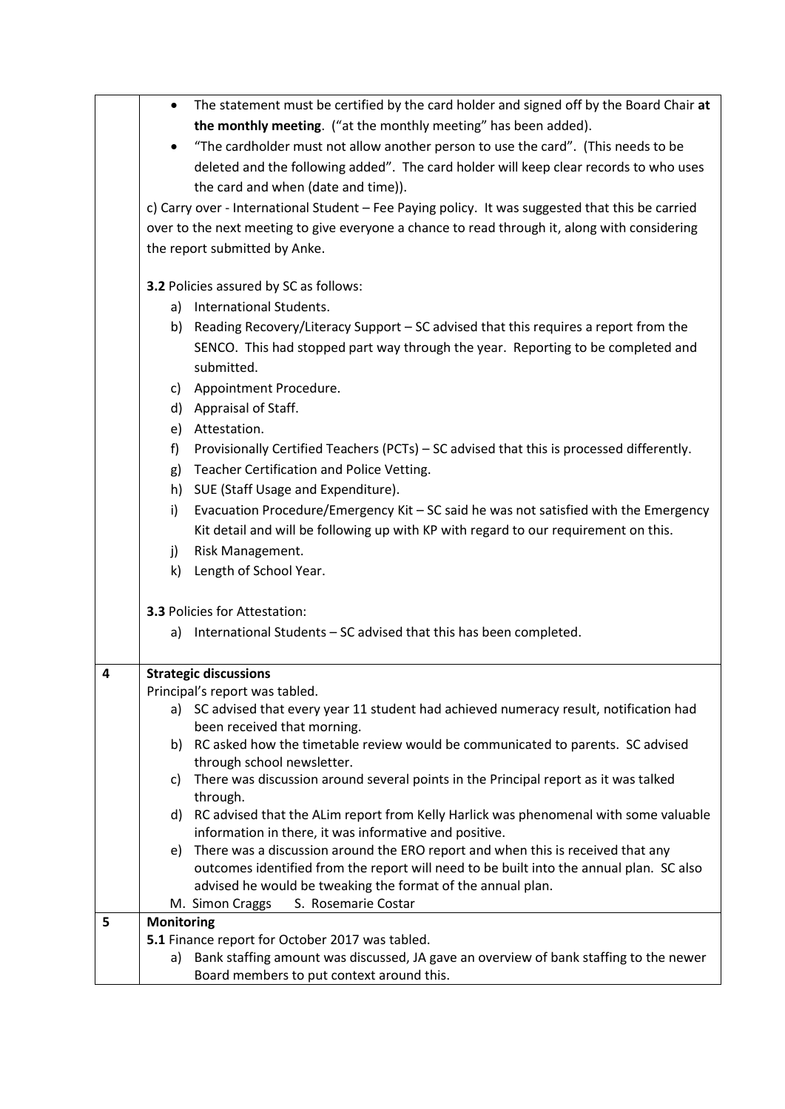|   | ٠                                             | The statement must be certified by the card holder and signed off by the Board Chair at                           |  |
|---|-----------------------------------------------|-------------------------------------------------------------------------------------------------------------------|--|
|   |                                               | the monthly meeting. ("at the monthly meeting" has been added).                                                   |  |
|   |                                               | "The cardholder must not allow another person to use the card". (This needs to be                                 |  |
|   |                                               | deleted and the following added". The card holder will keep clear records to who uses                             |  |
|   |                                               | the card and when (date and time)).                                                                               |  |
|   |                                               | c) Carry over - International Student - Fee Paying policy. It was suggested that this be carried                  |  |
|   |                                               | over to the next meeting to give everyone a chance to read through it, along with considering                     |  |
|   |                                               |                                                                                                                   |  |
|   | the report submitted by Anke.                 |                                                                                                                   |  |
|   | <b>3.2 Policies assured by SC as follows:</b> |                                                                                                                   |  |
|   |                                               | a) International Students.                                                                                        |  |
|   |                                               | b) Reading Recovery/Literacy Support - SC advised that this requires a report from the                            |  |
|   |                                               | SENCO. This had stopped part way through the year. Reporting to be completed and                                  |  |
|   |                                               | submitted.                                                                                                        |  |
|   |                                               | c) Appointment Procedure.                                                                                         |  |
|   |                                               | d) Appraisal of Staff.                                                                                            |  |
|   |                                               | e) Attestation.                                                                                                   |  |
|   | f)                                            | Provisionally Certified Teachers (PCTs) – SC advised that this is processed differently.                          |  |
|   |                                               | Teacher Certification and Police Vetting.                                                                         |  |
|   | g)                                            |                                                                                                                   |  |
|   |                                               | h) SUE (Staff Usage and Expenditure).                                                                             |  |
|   | i)                                            | Evacuation Procedure/Emergency Kit - SC said he was not satisfied with the Emergency                              |  |
|   |                                               | Kit detail and will be following up with KP with regard to our requirement on this.                               |  |
|   | j)                                            | Risk Management.                                                                                                  |  |
|   |                                               | k) Length of School Year.                                                                                         |  |
|   |                                               | <b>3.3 Policies for Attestation:</b>                                                                              |  |
|   |                                               | a) International Students - SC advised that this has been completed.                                              |  |
|   |                                               |                                                                                                                   |  |
| 4 |                                               | <b>Strategic discussions</b>                                                                                      |  |
|   |                                               | Principal's report was tabled.                                                                                    |  |
|   |                                               | a) SC advised that every year 11 student had achieved numeracy result, notification had                           |  |
|   |                                               | been received that morning.                                                                                       |  |
|   |                                               | b) RC asked how the timetable review would be communicated to parents. SC advised                                 |  |
|   | C)                                            | through school newsletter.<br>There was discussion around several points in the Principal report as it was talked |  |
|   |                                               | through.                                                                                                          |  |
|   |                                               | d) RC advised that the ALim report from Kelly Harlick was phenomenal with some valuable                           |  |
|   |                                               | information in there, it was informative and positive.                                                            |  |
|   | e)                                            | There was a discussion around the ERO report and when this is received that any                                   |  |
|   |                                               | outcomes identified from the report will need to be built into the annual plan. SC also                           |  |
|   |                                               | advised he would be tweaking the format of the annual plan.                                                       |  |
|   |                                               | M. Simon Craggs<br>S. Rosemarie Costar                                                                            |  |
| 5 | <b>Monitoring</b>                             | 5.1 Finance report for October 2017 was tabled.                                                                   |  |
|   |                                               | a) Bank staffing amount was discussed, JA gave an overview of bank staffing to the newer                          |  |
|   |                                               | Board members to put context around this.                                                                         |  |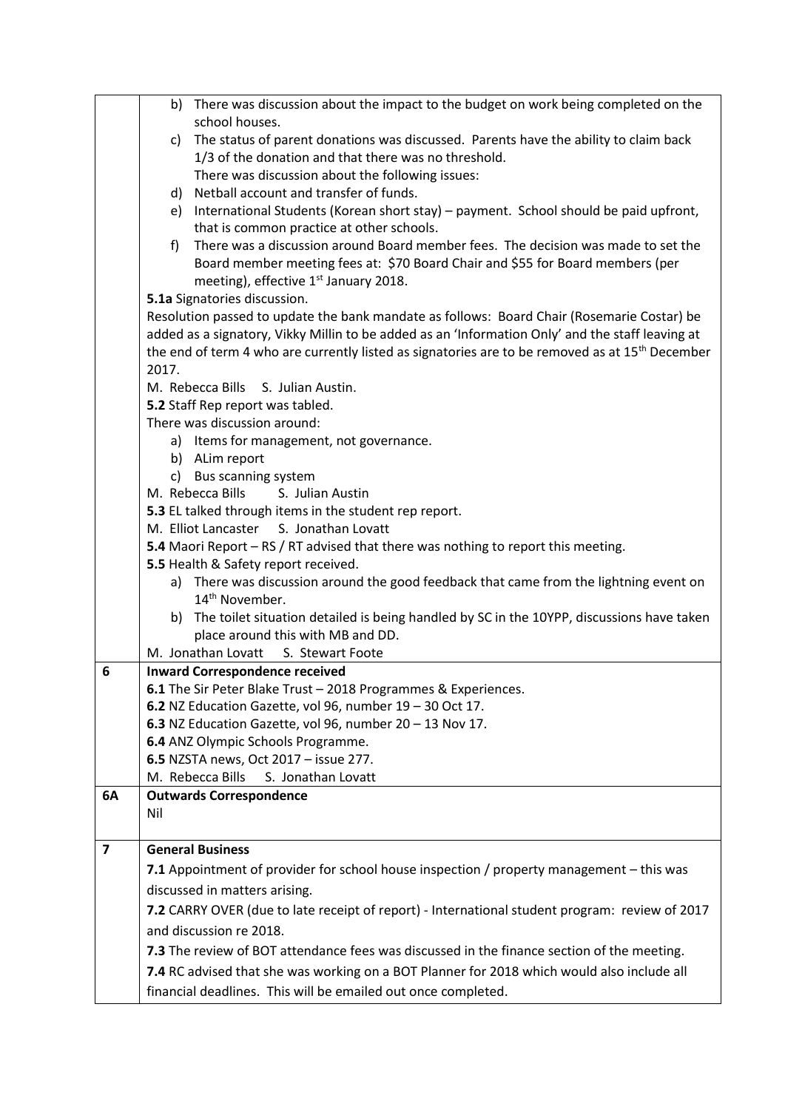|                         |                                                                                            | b) There was discussion about the impact to the budget on work being completed on the                                             |
|-------------------------|--------------------------------------------------------------------------------------------|-----------------------------------------------------------------------------------------------------------------------------------|
|                         |                                                                                            | school houses.                                                                                                                    |
|                         | c)                                                                                         | The status of parent donations was discussed. Parents have the ability to claim back                                              |
|                         |                                                                                            | 1/3 of the donation and that there was no threshold.                                                                              |
|                         |                                                                                            | There was discussion about the following issues:                                                                                  |
|                         |                                                                                            | d) Netball account and transfer of funds.                                                                                         |
|                         | e)                                                                                         | International Students (Korean short stay) - payment. School should be paid upfront,<br>that is common practice at other schools. |
|                         | f                                                                                          | There was a discussion around Board member fees. The decision was made to set the                                                 |
|                         |                                                                                            | Board member meeting fees at: \$70 Board Chair and \$55 for Board members (per                                                    |
|                         |                                                                                            | meeting), effective 1 <sup>st</sup> January 2018.                                                                                 |
|                         |                                                                                            | 5.1a Signatories discussion.                                                                                                      |
|                         | Resolution passed to update the bank mandate as follows: Board Chair (Rosemarie Costar) be |                                                                                                                                   |
|                         |                                                                                            | added as a signatory, Vikky Millin to be added as an 'Information Only' and the staff leaving at                                  |
|                         |                                                                                            | the end of term 4 who are currently listed as signatories are to be removed as at 15 <sup>th</sup> December                       |
|                         | 2017.                                                                                      |                                                                                                                                   |
|                         |                                                                                            | M. Rebecca Bills S. Julian Austin.                                                                                                |
|                         |                                                                                            | 5.2 Staff Rep report was tabled.                                                                                                  |
|                         |                                                                                            | There was discussion around:                                                                                                      |
|                         |                                                                                            | a) Items for management, not governance.                                                                                          |
|                         |                                                                                            | b) ALim report                                                                                                                    |
|                         |                                                                                            | c) Bus scanning system                                                                                                            |
|                         |                                                                                            | M. Rebecca Bills S. Julian Austin                                                                                                 |
|                         |                                                                                            | 5.3 EL talked through items in the student rep report.                                                                            |
|                         |                                                                                            | M. Elliot Lancaster S. Jonathan Lovatt                                                                                            |
|                         |                                                                                            | 5.4 Maori Report - RS / RT advised that there was nothing to report this meeting.                                                 |
|                         |                                                                                            | 5.5 Health & Safety report received.<br>a) There was discussion around the good feedback that came from the lightning event on    |
|                         |                                                                                            | 14 <sup>th</sup> November.                                                                                                        |
|                         |                                                                                            | b) The toilet situation detailed is being handled by SC in the 10YPP, discussions have taken                                      |
|                         |                                                                                            | place around this with MB and DD.                                                                                                 |
|                         |                                                                                            | M. Jonathan Lovatt S. Stewart Foote                                                                                               |
| 6                       |                                                                                            | <b>Inward Correspondence received</b>                                                                                             |
|                         |                                                                                            | 6.1 The Sir Peter Blake Trust - 2018 Programmes & Experiences.                                                                    |
|                         |                                                                                            | 6.2 NZ Education Gazette, vol 96, number 19 - 30 Oct 17.                                                                          |
|                         |                                                                                            | 6.3 NZ Education Gazette, vol 96, number 20 - 13 Nov 17.                                                                          |
|                         |                                                                                            | 6.4 ANZ Olympic Schools Programme.                                                                                                |
|                         |                                                                                            | 6.5 NZSTA news, Oct 2017 - issue 277.                                                                                             |
|                         |                                                                                            | M. Rebecca Bills<br>S. Jonathan Lovatt                                                                                            |
| 6A                      |                                                                                            | <b>Outwards Correspondence</b>                                                                                                    |
|                         | Nil                                                                                        |                                                                                                                                   |
| $\overline{\mathbf{z}}$ |                                                                                            | <b>General Business</b>                                                                                                           |
|                         |                                                                                            |                                                                                                                                   |
|                         |                                                                                            | 7.1 Appointment of provider for school house inspection / property management - this was                                          |
|                         |                                                                                            | discussed in matters arising.                                                                                                     |
|                         |                                                                                            | 7.2 CARRY OVER (due to late receipt of report) - International student program: review of 2017                                    |
|                         |                                                                                            | and discussion re 2018.                                                                                                           |
|                         |                                                                                            | 7.3 The review of BOT attendance fees was discussed in the finance section of the meeting.                                        |
|                         |                                                                                            | 7.4 RC advised that she was working on a BOT Planner for 2018 which would also include all                                        |
|                         |                                                                                            | financial deadlines. This will be emailed out once completed.                                                                     |